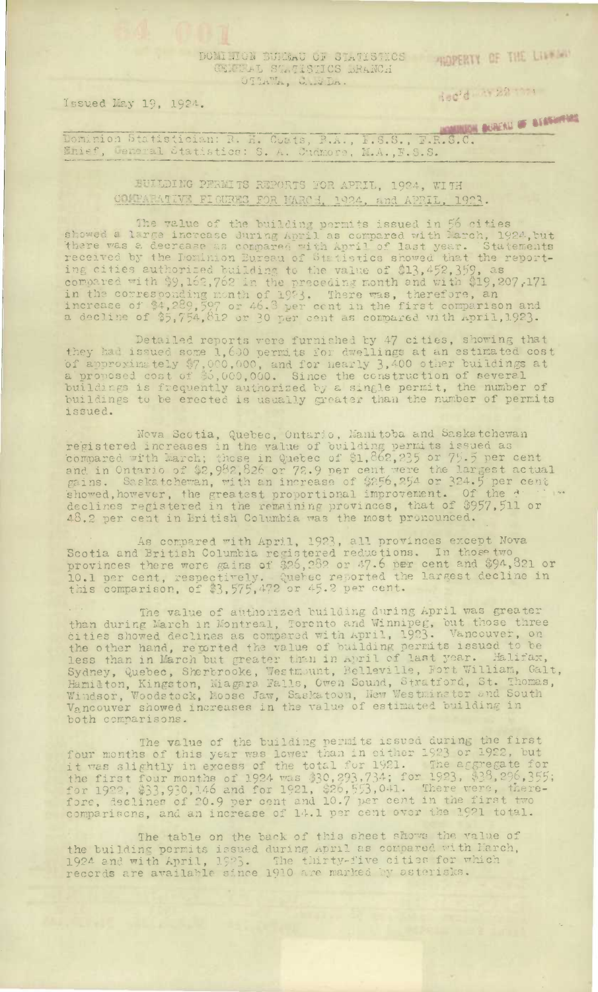DOMITION BURGAU OF STATISTICS HIMPERIY OF THE LITTLE OF GENERAL STATISTICS BRANCH OTTAWA, What Da.

Heddies 22 mm

Issued May 19, 1924.

Dominion Statistician: R. H. Coats, R.A., E.S.S., F.R.S.C. MARAM 5 AND 1999

BUILDING PERMITS REPORTS FOR APRIL, 1924, WITH COMPARATIVE FIGURES FOR MARCH, 1924, and APRIL, 1923.

The value of the building permits issued in 56 cities<br>showed a large increase during April as compared with March, 1924, but<br>there was a decrease as compared with April of last year. Statements<br>received by the Dominion Eur

Detailed reports vere furnished by 47 cities, showing that<br>they had issued some 1,600 permits for dwellings at an estimated cost<br>of approximately \$7,000,000, and for nearly 3,400 other buildings at<br>a proposed cost of \$5,00 issued.

Nova Scotia, Quebec, Ontario, Manitoba and Saskatchewan registered increases in the value of building permits issued as<br>compared with March; those in Quebec of \$1,862,235 or 75.5 per cent<br>and in Ontario of \$2,982,826 or 72.9 per cent were the largest actual<br>gains. Saskatchewan,

As compared with April, 1923, all provinces except Nova<br>Scotia and British Columbia registered reductions. In those two provinces there were gains of \$26,282 or 47.6 per cent and \$94,821 or 10.1 per cent, respectively. Quebec reported the largest decline in this comparison, of \$3,575,472 or 45.2 per cent.

The value of authorized building during April was greater<br>than during March in Montreal, Toronto and Winnipeg, but those three<br>cities showed declines as compared with April, 1923. Vancouver, on<br>the other hand, regorted the Sydney, Quebec, Sherbrooke, Westmunt, Belleville, Fort William, Galt, Hamilton, Kingston, Miagara Falls, Owen Sound, Stratford, St. Thomas, Windsor, Woodstock, Moose Jaw, Saskatoon, New Westminster and South Vancouver show both comparisons.

The value of the building permits issued during the first<br>four months of this year was lower than in either 1923 or 1922, but<br>it was slightly in excess of the total for 1921. The aggregate for<br>the first four months of 1924

The table on the back of this sheet shows the value of the building permits issued during april as compared with March, 1924 and with April, 1923. The thirty-five cities for which records are available since 1910 are marked by asterisks.